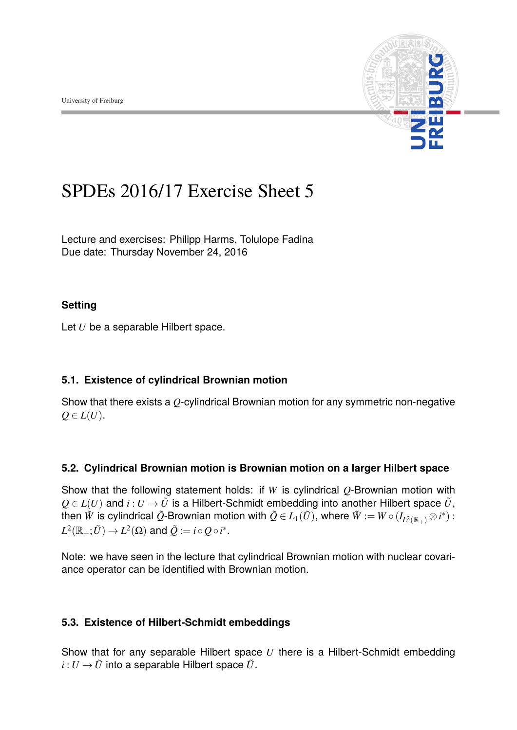

# SPDEs 2016/17 Exercise Sheet 5

Lecture and exercises: [Philipp Harms,](philipp.harms@stochastik.uni-freiburg.de) [Tolulope Fadina](tolulope.fadina@stochastik.uni-freiburg.de) Due date: Thursday November 24, 2016

#### **Setting**

Let *U* be a separable Hilbert space.

### **5.1. Existence of cylindrical Brownian motion**

Show that there exists a *Q*-cylindrical Brownian motion for any symmetric non-negative  $Q \in L(U)$ .

### **5.2. Cylindrical Brownian motion is Brownian motion on a larger Hilbert space**

Show that the following statement holds: if *W* is cylindrical *Q*-Brownian motion with  $Q \in L(U)$  and  $i: U \to \tilde{U}$  is a Hilbert-Schmidt embedding into another Hilbert space  $\tilde{U}$ , then  $\tilde{W}$  is cylindrical  $\tilde{Q}$ -Brownian motion with  $\tilde{Q}\in L_1(\tilde{U}),$  where  $\tilde{W}:=W\circ (I_{L^2(\mathbb{R}_+)}\otimes i^*)$  :  $L^2(\mathbb{R}_+;\tilde{U}) \rightarrow L^2(\Omega)$  and  $\tilde{Q} := i \circ Q \circ i^*.$ 

Note: we have seen in the lecture that cylindrical Brownian motion with nuclear covariance operator can be identified with Brownian motion.

### **5.3. Existence of Hilbert-Schmidt embeddings**

Show that for any separable Hilbert space *U* there is a Hilbert-Schmidt embedding  $i: U \rightarrow \tilde{U}$  into a separable Hilbert space  $\tilde{U}$ .